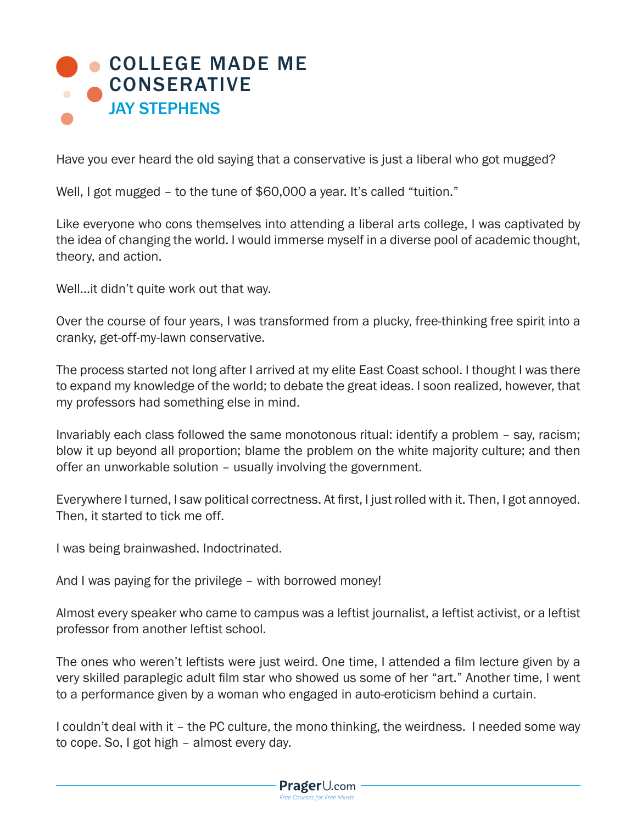

Have you ever heard the old saying that a conservative is just a liberal who got mugged?

Well, I got mugged – to the tune of \$60,000 a year. It's called "tuition."

Like everyone who cons themselves into attending a liberal arts college, I was captivated by the idea of changing the world. I would immerse myself in a diverse pool of academic thought, theory, and action.

Well…it didn't quite work out that way.

Over the course of four years, I was transformed from a plucky, free-thinking free spirit into a cranky, get-off-my-lawn conservative.

The process started not long after I arrived at my elite East Coast school. I thought I was there to expand my knowledge of the world; to debate the great ideas. I soon realized, however, that my professors had something else in mind.

Invariably each class followed the same monotonous ritual: identify a problem – say, racism; blow it up beyond all proportion; blame the problem on the white majority culture; and then offer an unworkable solution – usually involving the government.

Everywhere I turned, I saw political correctness. At first, I just rolled with it. Then, I got annoyed. Then, it started to tick me off.

I was being brainwashed. Indoctrinated.

And I was paying for the privilege – with borrowed money!

Almost every speaker who came to campus was a leftist journalist, a leftist activist, or a leftist professor from another leftist school.

The ones who weren't leftists were just weird. One time, I attended a film lecture given by a very skilled paraplegic adult film star who showed us some of her "art." Another time, I went to a performance given by a woman who engaged in auto-eroticism behind a curtain.

I couldn't deal with it – the PC culture, the mono thinking, the weirdness. I needed some way to cope. So, I got high – almost every day.